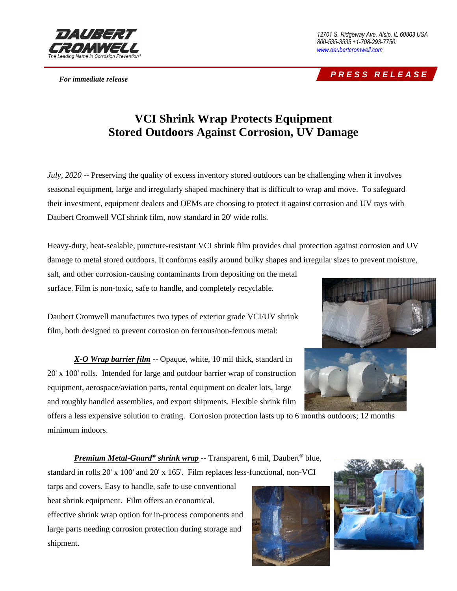

*12701 S. Ridgeway Ave. Alsip, IL 60803 USA 800-535-3535 +1-708-293-7750: [www.daubertcromwell.com](http://www.daubertcromwell.com/)*

## *For immediate release P R E S S R E L E A S E*

## **VCI Shrink Wrap Protects Equipment Stored Outdoors Against Corrosion, UV Damage**

*July, 2020* -- Preserving the quality of excess inventory stored outdoors can be challenging when it involves seasonal equipment, large and irregularly shaped machinery that is difficult to wrap and move. To safeguard their investment, equipment dealers and OEMs are choosing to protect it against corrosion and UV rays with Daubert Cromwell VCI shrink film, now standard in 20' wide rolls.

Heavy-duty, heat-sealable, puncture-resistant VCI shrink film provides dual protection against corrosion and UV damage to metal stored outdoors. It conforms easily around bulky shapes and irregular sizes to prevent moisture,

salt, and other corrosion-causing contaminants from depositing on the metal surface. Film is non-toxic, safe to handle, and completely recyclable.

Daubert Cromwell manufactures two types of exterior grade VCI/UV shrink film, both designed to prevent corrosion on ferrous/non-ferrous metal:





*X-O [Wrap barrier film](https://daubertcromwell.com/products/vci-film-bags/x-o-wrap-shrink-film/)* -- Opaque, white, 10 mil thick, standard in 20' x 100' rolls. Intended for large and outdoor barrier wrap of construction equipment, aerospace/aviation parts, rental equipment on dealer lots, large and roughly handled assemblies, and export shipments. Flexible shrink film

offers a less expensive solution to crating. Corrosion protection lasts up to 6 months outdoors; 12 months minimum indoors.

*[Premium Metal-Guard](https://daubertcromwell.com/products/vci-film-bags/premium-metal-guard/)® shrink wrap* -- Transparent, 6 mil, Daubert*®* blue, standard in rolls 20' x 100' and 20' x 165'. Film replaces less-functional, non-VCI

tarps and covers. Easy to handle, safe to use conventional heat shrink equipment. Film offers an economical, effective shrink wrap option for in-process components and

large parts needing corrosion protection during storage and

shipment.